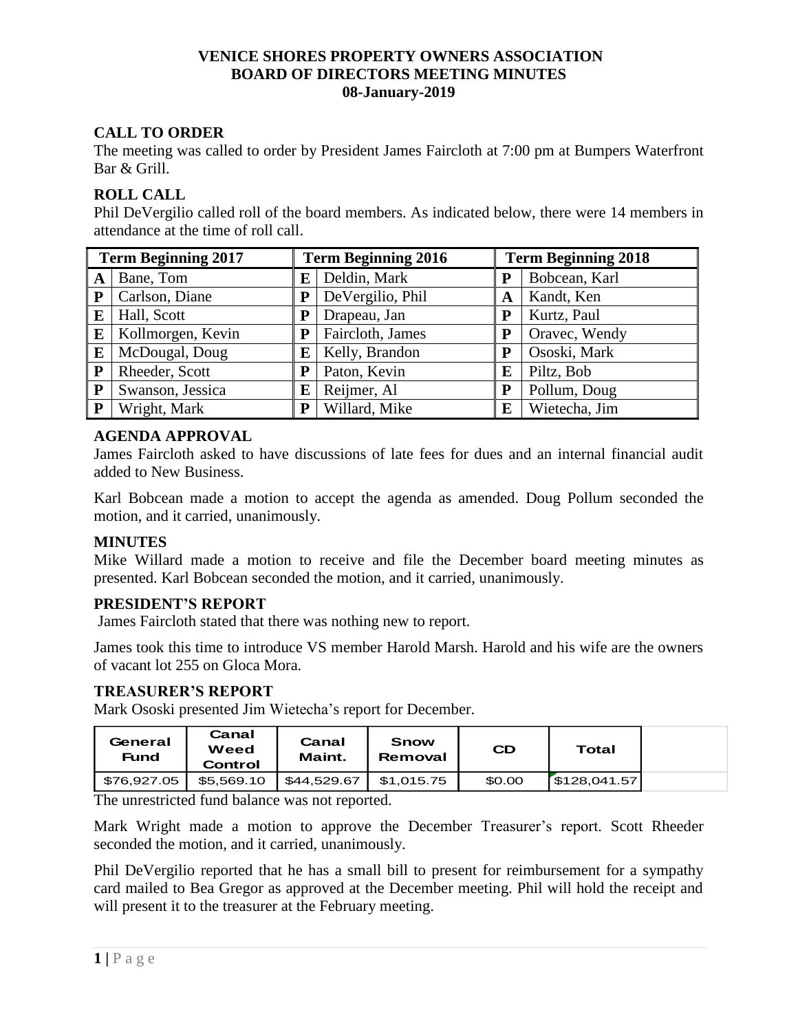## **VENICE SHORES PROPERTY OWNERS ASSOCIATION BOARD OF DIRECTORS MEETING MINUTES 08-January-2019**

# **CALL TO ORDER**

The meeting was called to order by President James Faircloth at 7:00 pm at Bumpers Waterfront Bar & Grill.

## **ROLL CALL**

Phil DeVergilio called roll of the board members. As indicated below, there were 14 members in attendance at the time of roll call.

| <b>Term Beginning 2017</b> |                   | <b>Term Beginning 2016</b> |                  | <b>Term Beginning 2018</b> |               |  |
|----------------------------|-------------------|----------------------------|------------------|----------------------------|---------------|--|
| A                          | Bane, Tom         | Е                          | Deldin, Mark     | P                          | Bobcean, Karl |  |
| ${\bf P}$                  | Carlson, Diane    | P                          | DeVergilio, Phil | A                          | Kandt, Ken    |  |
| E                          | Hall, Scott       | P                          | Drapeau, Jan     | P                          | Kurtz, Paul   |  |
| E                          | Kollmorgen, Kevin | P                          | Faircloth, James | P                          | Oravec, Wendy |  |
| E                          | McDougal, Doug    | Е                          | Kelly, Brandon   | P                          | Ososki, Mark  |  |
| P                          | Rheeder, Scott    | P                          | Paton, Kevin     | E                          | Piltz, Bob    |  |
| ${\bf P}$                  | Swanson, Jessica  | E                          | Reijmer, Al      | P                          | Pollum, Doug  |  |
| P                          | Wright, Mark      | P                          | Willard, Mike    | E                          | Wietecha, Jim |  |

## **AGENDA APPROVAL**

James Faircloth asked to have discussions of late fees for dues and an internal financial audit added to New Business.

Karl Bobcean made a motion to accept the agenda as amended. Doug Pollum seconded the motion, and it carried, unanimously.

### **MINUTES**

Mike Willard made a motion to receive and file the December board meeting minutes as presented. Karl Bobcean seconded the motion, and it carried, unanimously.

### **PRESIDENT'S REPORT**

James Faircloth stated that there was nothing new to report.

James took this time to introduce VS member Harold Marsh. Harold and his wife are the owners of vacant lot 255 on Gloca Mora.

### **TREASURER'S REPORT**

Mark Ososki presented Jim Wietecha's report for December.

| General<br><b>Fund</b> | Canal<br>Weed<br>Control | Canal<br>Maint. | Snow<br>Removal | <b>CD</b> | Total       |
|------------------------|--------------------------|-----------------|-----------------|-----------|-------------|
| \$76.927.05            | \$5.569.10               | \$44.529.67     | \$1.015.75      | \$0.00    | 5128.041.57 |

The unrestricted fund balance was not reported.

Mark Wright made a motion to approve the December Treasurer's report. Scott Rheeder seconded the motion, and it carried, unanimously.

Phil DeVergilio reported that he has a small bill to present for reimbursement for a sympathy card mailed to Bea Gregor as approved at the December meeting. Phil will hold the receipt and will present it to the treasurer at the February meeting.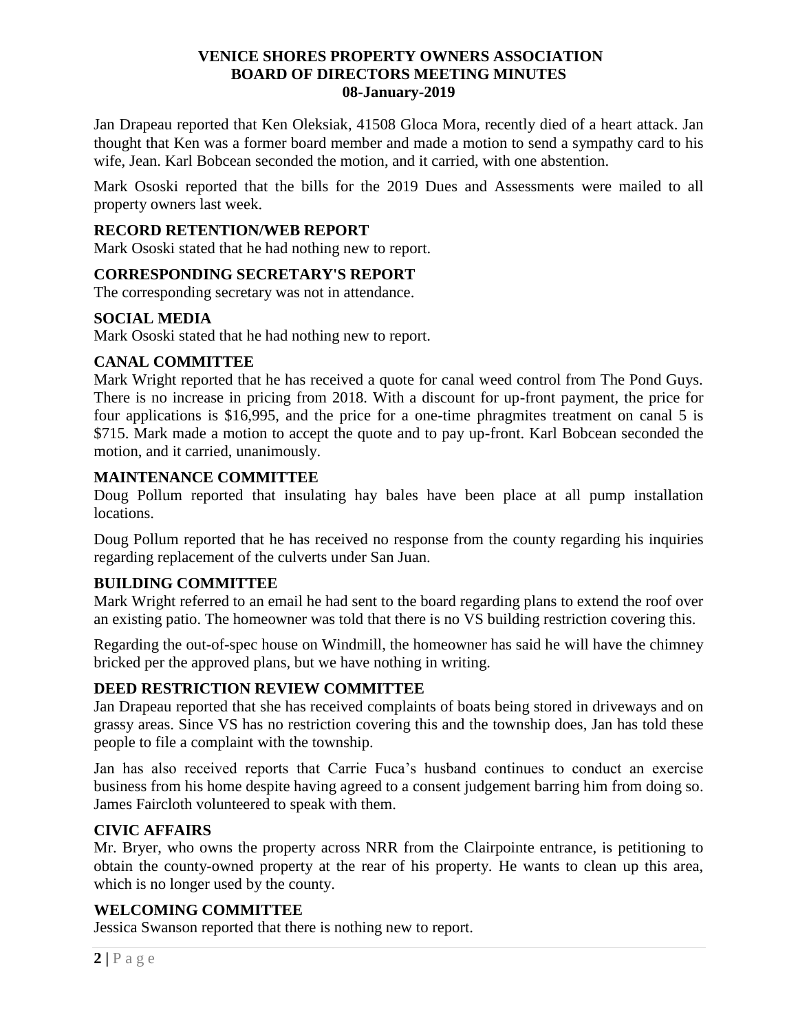## **VENICE SHORES PROPERTY OWNERS ASSOCIATION BOARD OF DIRECTORS MEETING MINUTES 08-January-2019**

Jan Drapeau reported that Ken Oleksiak, 41508 Gloca Mora, recently died of a heart attack. Jan thought that Ken was a former board member and made a motion to send a sympathy card to his wife, Jean. Karl Bobcean seconded the motion, and it carried, with one abstention.

Mark Ososki reported that the bills for the 2019 Dues and Assessments were mailed to all property owners last week.

## **RECORD RETENTION/WEB REPORT**

Mark Ososki stated that he had nothing new to report.

### **CORRESPONDING SECRETARY'S REPORT**

The corresponding secretary was not in attendance.

### **SOCIAL MEDIA**

Mark Ososki stated that he had nothing new to report.

## **CANAL COMMITTEE**

Mark Wright reported that he has received a quote for canal weed control from The Pond Guys. There is no increase in pricing from 2018. With a discount for up-front payment, the price for four applications is \$16,995, and the price for a one-time phragmites treatment on canal 5 is \$715. Mark made a motion to accept the quote and to pay up-front. Karl Bobcean seconded the motion, and it carried, unanimously.

### **MAINTENANCE COMMITTEE**

Doug Pollum reported that insulating hay bales have been place at all pump installation locations.

Doug Pollum reported that he has received no response from the county regarding his inquiries regarding replacement of the culverts under San Juan.

### **BUILDING COMMITTEE**

Mark Wright referred to an email he had sent to the board regarding plans to extend the roof over an existing patio. The homeowner was told that there is no VS building restriction covering this.

Regarding the out-of-spec house on Windmill, the homeowner has said he will have the chimney bricked per the approved plans, but we have nothing in writing.

# **DEED RESTRICTION REVIEW COMMITTEE**

Jan Drapeau reported that she has received complaints of boats being stored in driveways and on grassy areas. Since VS has no restriction covering this and the township does, Jan has told these people to file a complaint with the township.

Jan has also received reports that Carrie Fuca's husband continues to conduct an exercise business from his home despite having agreed to a consent judgement barring him from doing so. James Faircloth volunteered to speak with them.

### **CIVIC AFFAIRS**

Mr. Bryer, who owns the property across NRR from the Clairpointe entrance, is petitioning to obtain the county-owned property at the rear of his property. He wants to clean up this area, which is no longer used by the county.

# **WELCOMING COMMITTEE**

Jessica Swanson reported that there is nothing new to report.